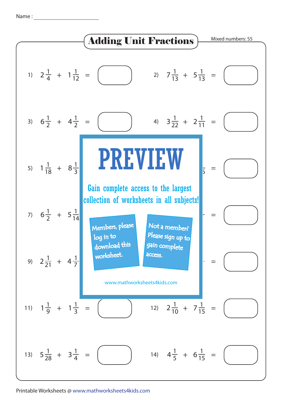